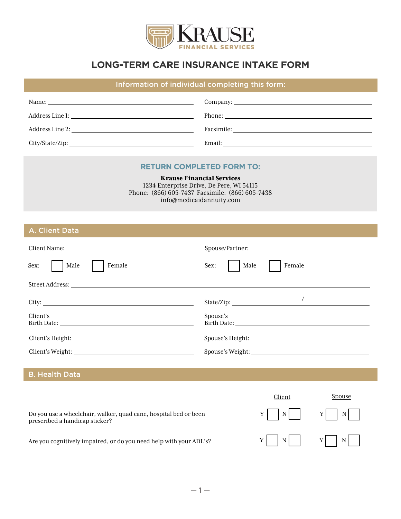

# LONG-TERM CARE INSURANCE INTAKE FORM

## Information of individual completing this form:

| Name:                                                                                                          |            |
|----------------------------------------------------------------------------------------------------------------|------------|
| Address Line 1:                                                                                                |            |
| Address Line 2:                                                                                                | Facsimile: |
| City/State/Zip: 2008/2012 2012 2022 2023 2024 2022 2022 2023 2024 2022 2023 2024 2022 2023 2024 2022 2023 2024 | Email:     |

#### RETURN COMPLETED FORM TO:

Krause Financial Services

1234 Enterprise Drive, De Pere, WI 54115 Phone: (866) 605-7437 Facsimile: (866) 605-7438 info@medicaidannuity.com

A. Client Data

| Client Name: Name: Name: Name: Name: Name: Name: Name: Name: Name: Name: Name: Name: Name: Name: Name: Name: Name: Name: Name: Name: Name: Name: Name: Name: Name: Name: Name: Name: Name: Name: Name: Name: Name: Name: Name:<br>Sex:<br>Male<br>Female | Spouse/Partner:<br>Sex:<br>Female<br>Male |
|----------------------------------------------------------------------------------------------------------------------------------------------------------------------------------------------------------------------------------------------------------|-------------------------------------------|
| Street Address: the contract of the contract of the contract of the contract of the contract of the contract of the contract of the contract of the contract of the contract of the contract of the contract of the contract o                           |                                           |
| Client's<br>Birth Date: the contract of the contract of the contract of the contract of the contract of the contract of the contract of the contract of the contract of the contract of the contract of the contract of the contract of th               | State/Zip:<br>Spouse's                    |
| Client's Height: University of the Client's Height:                                                                                                                                                                                                      |                                           |
| Client's Weight:                                                                                                                                                                                                                                         | Spouse's Weight:                          |
| _______                                                                                                                                                                                                                                                  |                                           |

B. Health Data

Do you use a wheelchair, walker, quad cane, hospital bed or been prescribed a handicap sticker?



Are you cognitively impaired, or do you need help with your ADL's?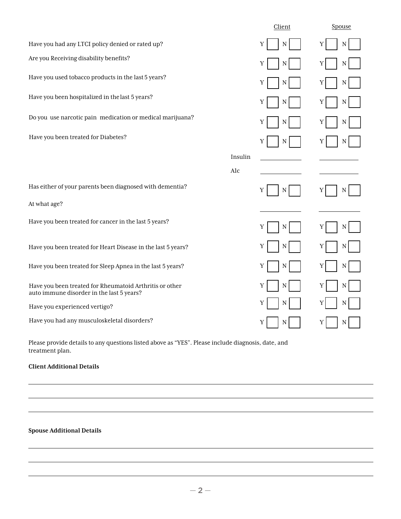|                                                                                                      |         | Client | Spouse |
|------------------------------------------------------------------------------------------------------|---------|--------|--------|
| Have you had any LTCI policy denied or rated up?                                                     |         | Y<br>N | N<br>Y |
| Are you Receiving disability benefits?                                                               |         | Υ<br>N | N      |
| Have you used tobacco products in the last 5 years?                                                  |         | Υ<br>N | N      |
| Have you been hospitalized in the last 5 years?                                                      |         | Y<br>N | N      |
| Do you use narcotic pain medication or medical marijuana?                                            |         | Υ<br>N | N      |
| Have you been treated for Diabetes?                                                                  |         | Y      | N      |
|                                                                                                      | Insulin |        |        |
|                                                                                                      | Alc     |        |        |
| Has either of your parents been diagnosed with dementia?                                             |         | Υ<br>N | N      |
| At what age?                                                                                         |         |        |        |
| Have you been treated for cancer in the last 5 years?                                                |         | Υ<br>N | N      |
| Have you been treated for Heart Disease in the last 5 years?                                         |         | Υ<br>N | Y<br>N |
| Have you been treated for Sleep Apnea in the last 5 years?                                           |         | Υ<br>N | N      |
| Have you been treated for Rheumatoid Arthritis or other<br>auto immune disorder in the last 5 years? |         | Y<br>N | N      |
| Have you experienced vertigo?                                                                        |         | Y<br>N | N      |
| Have you had any musculoskeletal disorders?                                                          |         | Υ<br>N | Y<br>N |

Please provide details to any questions listed above as "YES". Please include diagnosis, date, and treatment plan.

#### **Client Additional Details**

#### **Spouse Additional Details**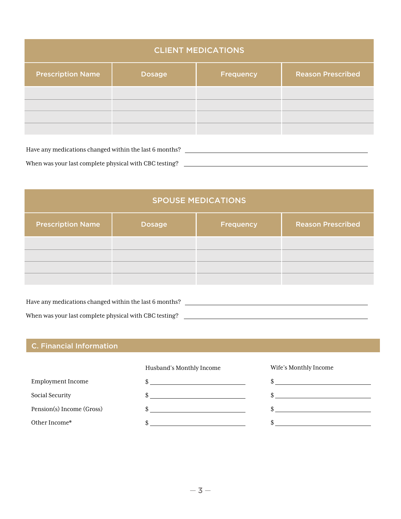| <b>CLIENT MEDICATIONS</b> |               |                  |                          |
|---------------------------|---------------|------------------|--------------------------|
| <b>Prescription Name</b>  | <b>Dosage</b> | <b>Frequency</b> | <b>Reason Prescribed</b> |
|                           |               |                  |                          |
|                           |               |                  |                          |

Have any medications changed within the last 6 months?  $\Box$ 

When was your last complete physical with CBC testing?

| <b>SPOUSE MEDICATIONS</b> |               |           |                          |
|---------------------------|---------------|-----------|--------------------------|
| <b>Prescription Name</b>  | <b>Dosage</b> | Frequency | <b>Reason Prescribed</b> |
|                           |               |           |                          |
|                           |               |           |                          |

Have any medications changed within the last 6 months? When was your last complete physical with CBC testing?

## C. Financial Information

Husband's Monthly Income

| Employment Income         |  |
|---------------------------|--|
| Social Security           |  |
| Pension(s) Income (Gross) |  |
| Other Income*             |  |

Wife's Monthly Income

\$  $\frac{1}{2}$  $\frac{1}{2}$  $$$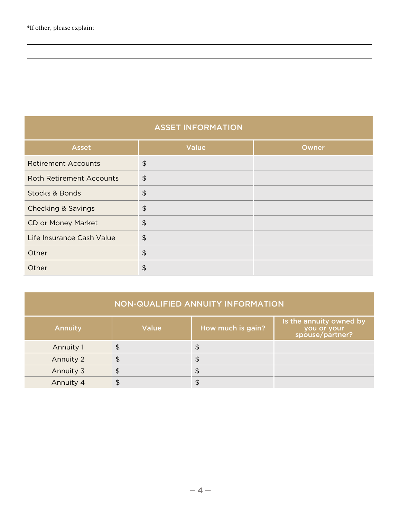## ASSET INFORMATION

| <b>Asset</b>                    | <b>Value</b>   | Owner |
|---------------------------------|----------------|-------|
| <b>Retirement Accounts</b>      | $\frac{2}{3}$  |       |
| <b>Roth Retirement Accounts</b> | $\frac{1}{2}$  |       |
| <b>Stocks &amp; Bonds</b>       | \$             |       |
| <b>Checking &amp; Savings</b>   | $\updownarrow$ |       |
| CD or Money Market              | $\frac{1}{2}$  |       |
| Life Insurance Cash Value       | $\frac{1}{2}$  |       |
| Other                           | $\frac{1}{2}$  |       |
| Other                           | \$             |       |

| NON-QUALIFIED ANNUITY INFORMATION |  |
|-----------------------------------|--|
|                                   |  |

| <b>Annuity</b> | <b>Value</b> | How much is gain? | Is the annuity owned by<br>you or your<br>spouse/partner? |
|----------------|--------------|-------------------|-----------------------------------------------------------|
| Annuity 1      | \$           | \$                |                                                           |
| Annuity 2      | \$           | \$                |                                                           |
| Annuity 3      | \$           | \$                |                                                           |
| Annuity 4      | \$           |                   |                                                           |